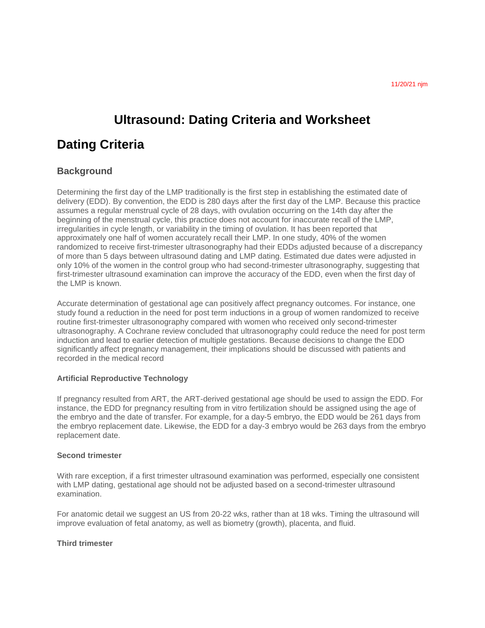# **Ultrasound: Dating Criteria and Worksheet**

## **Dating Criteria**

## **Background**

Determining the first day of the LMP traditionally is the first step in establishing the estimated date of delivery (EDD). By convention, the EDD is 280 days after the first day of the LMP. Because this practice assumes a regular menstrual cycle of 28 days, with ovulation occurring on the 14th day after the beginning of the menstrual cycle, this practice does not account for inaccurate recall of the LMP, irregularities in cycle length, or variability in the timing of ovulation. It has been reported that approximately one half of women accurately recall their LMP. In one study, 40% of the women randomized to receive first-trimester ultrasonography had their EDDs adjusted because of a discrepancy of more than 5 days between ultrasound dating and LMP dating. Estimated due dates were adjusted in only 10% of the women in the control group who had second-trimester ultrasonography, suggesting that first-trimester ultrasound examination can improve the accuracy of the EDD, even when the first day of the LMP is known.

Accurate determination of gestational age can positively affect pregnancy outcomes. For instance, one study found a reduction in the need for post term inductions in a group of women randomized to receive routine first-trimester ultrasonography compared with women who received only second-trimester ultrasonography. A Cochrane review concluded that ultrasonography could reduce the need for post term induction and lead to earlier detection of multiple gestations. Because decisions to change the EDD significantly affect pregnancy management, their implications should be discussed with patients and recorded in the medical record

### **Artificial Reproductive Technology**

If pregnancy resulted from ART, the ART-derived gestational age should be used to assign the EDD. For instance, the EDD for pregnancy resulting from in vitro fertilization should be assigned using the age of the embryo and the date of transfer. For example, for a day-5 embryo, the EDD would be 261 days from the embryo replacement date. Likewise, the EDD for a day-3 embryo would be 263 days from the embryo replacement date.

#### **Second trimester**

With rare exception, if a first trimester ultrasound examination was performed, especially one consistent with LMP dating, gestational age should not be adjusted based on a second-trimester ultrasound examination.

For anatomic detail we suggest an US from 20-22 wks, rather than at 18 wks. Timing the ultrasound will improve evaluation of fetal anatomy, as well as biometry (growth), placenta, and fluid.

#### **Third trimester**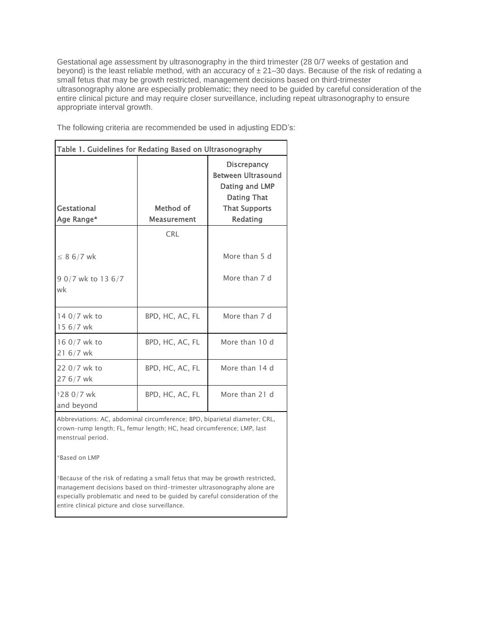Gestational age assessment by ultrasonography in the third trimester (28 0/7 weeks of gestation and beyond) is the least reliable method, with an accuracy of  $\pm 21-30$  days. Because of the risk of redating a small fetus that may be growth restricted, management decisions based on third-trimester ultrasonography alone are especially problematic; they need to be guided by careful consideration of the entire clinical picture and may require closer surveillance, including repeat ultrasonography to ensure appropriate interval growth.

The following criteria are recommended be used in adjusting EDD's:

| Gestational<br>Age Range* | Method of<br><b>Measurement</b> | <b>Discrepancy</b><br><b>Between Ultrasound</b><br>Dating and LMP<br><b>Dating That</b><br><b>That Supports</b><br>Redating |
|---------------------------|---------------------------------|-----------------------------------------------------------------------------------------------------------------------------|
|                           | <b>CRL</b>                      |                                                                                                                             |
| $\leq 8$ 6/7 wk           |                                 | More than 5 d                                                                                                               |
| 9 0/7 wk to 13 6/7<br>wk  |                                 | More than 7 d                                                                                                               |
| 14 0/7 wk to<br>15 6/7 wk | BPD, HC, AC, FL                 | More than 7 d                                                                                                               |
| 16 0/7 wk to<br>21 6/7 wk | BPD, HC, AC, FL                 | More than 10 d                                                                                                              |
| 22 0/7 wk to<br>27 6/7 wk | BPD, HC, AC, FL                 | More than 14 d                                                                                                              |
| †28 0/7 wk<br>and beyond  | BPD, HC, AC, FL                 | More than 21 d                                                                                                              |

Abbreviations: AC, abdominal circumference; BPD, biparietal diameter; CRL, crown–rump length; FL, femur length; HC, head circumference; LMP, last menstrual period.

\*Based on LMP

†Because of the risk of redating a small fetus that may be growth restricted, management decisions based on third-trimester ultrasonography alone are especially problematic and need to be guided by careful consideration of the entire clinical picture and close surveillance.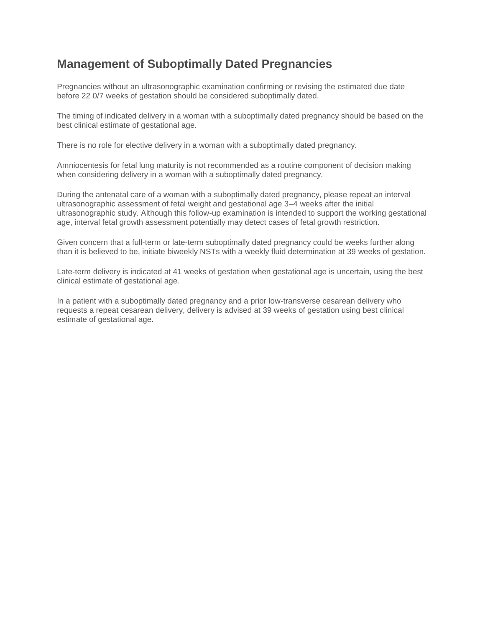## **Management of Suboptimally Dated Pregnancies**

Pregnancies without an ultrasonographic examination confirming or revising the estimated due date before 22 0/7 weeks of gestation should be considered suboptimally dated.

The timing of indicated delivery in a woman with a suboptimally dated pregnancy should be based on the best clinical estimate of gestational age.

There is no role for elective delivery in a woman with a suboptimally dated pregnancy.

Amniocentesis for fetal lung maturity is not recommended as a routine component of decision making when considering delivery in a woman with a suboptimally dated pregnancy.

During the antenatal care of a woman with a suboptimally dated pregnancy, please repeat an interval ultrasonographic assessment of fetal weight and gestational age 3–4 weeks after the initial ultrasonographic study. Although this follow-up examination is intended to support the working gestational age, interval fetal growth assessment potentially may detect cases of fetal growth restriction.

Given concern that a full-term or late-term suboptimally dated pregnancy could be weeks further along than it is believed to be, initiate biweekly NSTs with a weekly fluid determination at 39 weeks of gestation.

Late-term delivery is indicated at 41 weeks of gestation when gestational age is uncertain, using the best clinical estimate of gestational age.

In a patient with a suboptimally dated pregnancy and a prior low-transverse cesarean delivery who requests a repeat cesarean delivery, delivery is advised at 39 weeks of gestation using best clinical estimate of gestational age.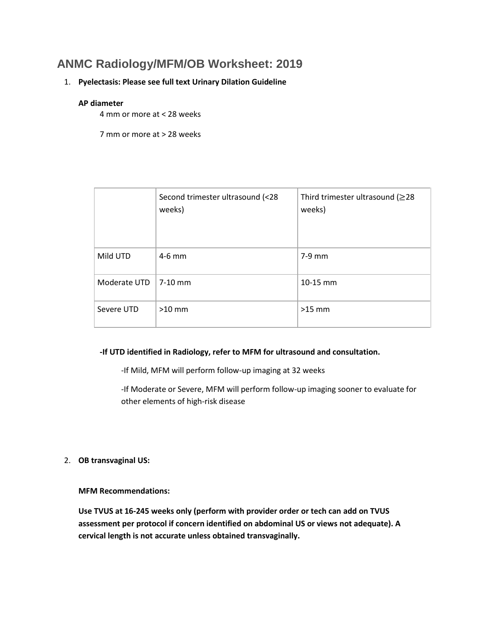## **ANMC Radiology/MFM/OB Worksheet: 2019**

### 1. **Pyelectasis: Please see full text Urinary Dilation Guideline**

#### **AP diameter**

4 mm or more at < 28 weeks

7 mm or more at > 28 weeks

|              | Second trimester ultrasound (<28<br>weeks) | Third trimester ultrasound ( $\geq$ 28<br>weeks) |
|--------------|--------------------------------------------|--------------------------------------------------|
| Mild UTD     | $4-6$ mm                                   | 7-9 mm                                           |
| Moderate UTD | $\sqrt{7-10}$ mm                           | 10-15 mm                                         |
| Severe UTD   | $>10$ mm                                   | $>15$ mm                                         |

### **-If UTD identified in Radiology, refer to MFM for ultrasound and consultation.**

-If Mild, MFM will perform follow-up imaging at 32 weeks

-If Moderate or Severe, MFM will perform follow-up imaging sooner to evaluate for other elements of high-risk disease

2. **OB transvaginal US:**

**MFM Recommendations:**

**Use TVUS at 16-245 weeks only (perform with provider order or tech can add on TVUS assessment per protocol if concern identified on abdominal US or views not adequate). A cervical length is not accurate unless obtained transvaginally.**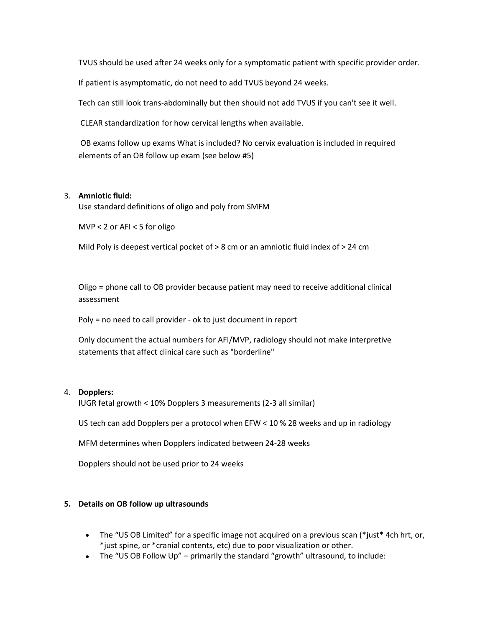TVUS should be used after 24 weeks only for a symptomatic patient with specific provider order.

If patient is asymptomatic, do not need to add TVUS beyond 24 weeks.

Tech can still look trans-abdominally but then should not add TVUS if you can't see it well.

CLEAR standardization for how cervical lengths when available.

OB exams follow up exams What is included? No cervix evaluation is included in required elements of an OB follow up exam (see below #5)

### 3. **Amniotic fluid:**

Use standard definitions of oligo and poly from SMFM

MVP < 2 or AFI < 5 for oligo

Mild Poly is deepest vertical pocket of  $\geq$  8 cm or an amniotic fluid index of  $\geq$  24 cm

Oligo = phone call to OB provider because patient may need to receive additional clinical assessment

Poly = no need to call provider - ok to just document in report

Only document the actual numbers for AFI/MVP, radiology should not make interpretive statements that affect clinical care such as "borderline"

### 4. **Dopplers:**

IUGR fetal growth < 10% Dopplers 3 measurements (2-3 all similar)

US tech can add Dopplers per a protocol when EFW < 10 % 28 weeks and up in radiology

MFM determines when Dopplers indicated between 24-28 weeks

Dopplers should not be used prior to 24 weeks

#### **5. Details on OB follow up ultrasounds**

- The "US OB Limited" for a specific image not acquired on a previous scan (\*just\* 4ch hrt, or, \*just spine, or \*cranial contents, etc) due to poor visualization or other.
- The "US OB Follow Up" primarily the standard "growth" ultrasound, to include: